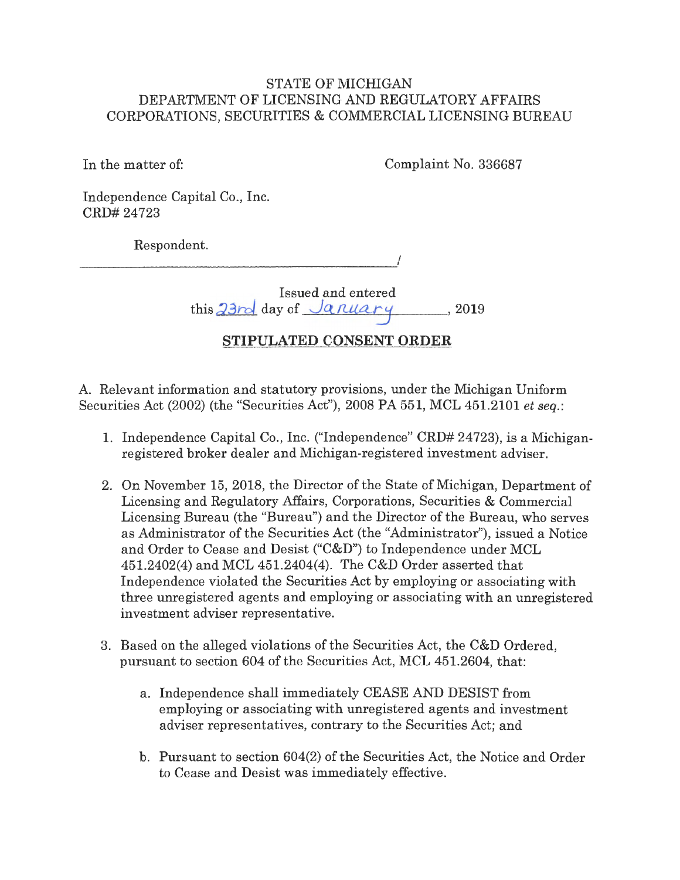## STATE OF MICHIGAN DEPARTMENT OF LICENSING AND REGULATORY AFFAIRS CORPORATIONS, SECURITIES & COMMERCIAL LICENSING BUREAU

In the matter of:

Complaint No. 336687

Independence Capital Co., Inc. CRD# 24723

Respondent.

I

Issued and entered  $\frac{1}{10}$   $\frac{33}{rd}$  day of  $\frac{January}{q}$ , 2019

# **STIPULATED CONSENT ORDER**

A. Relevant information and statutory provisions, under the Michigan Uniform Securities Act (2002) (the "Securities Act"), 2008 PA 551, MCL 451.2101 *et seq.:* 

- 1. Independence Capital Co., Inc. ("Independence" CRD# 24723), is a Michiganregistered broker dealer and Michigan-registered investment adviser.
- 2. On November 15, 2018, the Director of the State of Michigan, Department of Licensing and Regulatory Affairs, Corporations, Securities & Commercial Licensing Bureau (the "Bureau") and the Director of the Bureau, who serves as Administrator of the Securities Act (the "Administrator"), issued a Notice and Order to Cease and Desist ("C&D") to Independence under MCL 451.2402(4) and MCL 451.2404(4). The C&D Order asserted that Independence violated the Securities Act by employing or associating with three unregistered agents and employing or associating with an unregistered investment adviser representative.
- 3. Based on the alleged violations of the Securities Act, the C&D Ordered, pursuant to section 604 of the Securities Act, MCL 451.2604, that:
	- a. Independence shall immediately CEASE AND DESIST from employing or associating with unregistered agents and investment adviser representatives, contrary to the Securities Act; and
	- b. Pursuant to section 604(2) of the Securities Act, the Notice and Order to Cease and Desist was immediately effective.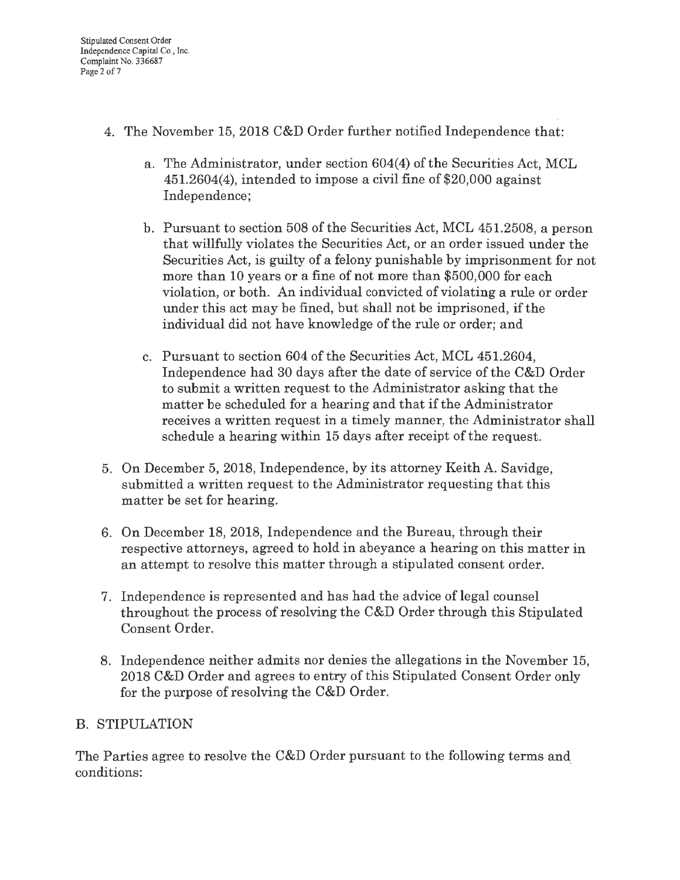- 4. The November 15, 2018 C&D Order further notified Independence that:
	- a. The Administrator, under section 604(4) of the Securities Act, MCL 451.2604(4), intended to impose a civil fine of \$20,000 against Independence;
	- b. Pursuant to section 508 of the Securities Act, MCL 451.2508, a person that willfully violates the Securities Act, or an order issued under the Securities Act, is guilty of a felony punishable by imprisonment for not more than 10 years or a fine of not more than \$500,000 for each violation, or both. An individual convicted of violating a rule or order under this act may be fined, but shall not be imprisoned, if the individual did not have knowledge of the rule or order; and
	- c. Pursuant to section 604 of the Securities Act, MCL 451.2604, Independence had 30 days after the date of service of the C&D Order to submit a written request to the Administrator asking that the matter be scheduled for a hearing and that if the Administrator receives a written request in a timely manner, the Administrator shall schedule a hearing within 15 days after receipt of the request.
- 5. On December 5, 2018, Independence, by its attorney Keith A. Savidge, submitted a written request to the Administrator requesting that this matter be set for hearing.
- 6. On December 18, 2018, Independence and the Bureau, through their respective attorneys, agreed to hold in abeyance a hearing on this matter in an attempt to resolve this matter through a stipulated consent order.
- 7. Independence is represented and has had the advice of legal counsel throughout the process of resolving the C&D Order through this Stipulated Consent Order.
- 8. Independence neither admits nor denies the allegations in the November 15, 2018 C&D Order and agrees to entry of this Stipulated Consent Order only for the purpose of resolving the C&D Order.

# B. STIPULATION

The Parties agree to resolve the C&D Order pursuant to the following terms and\_ conditions: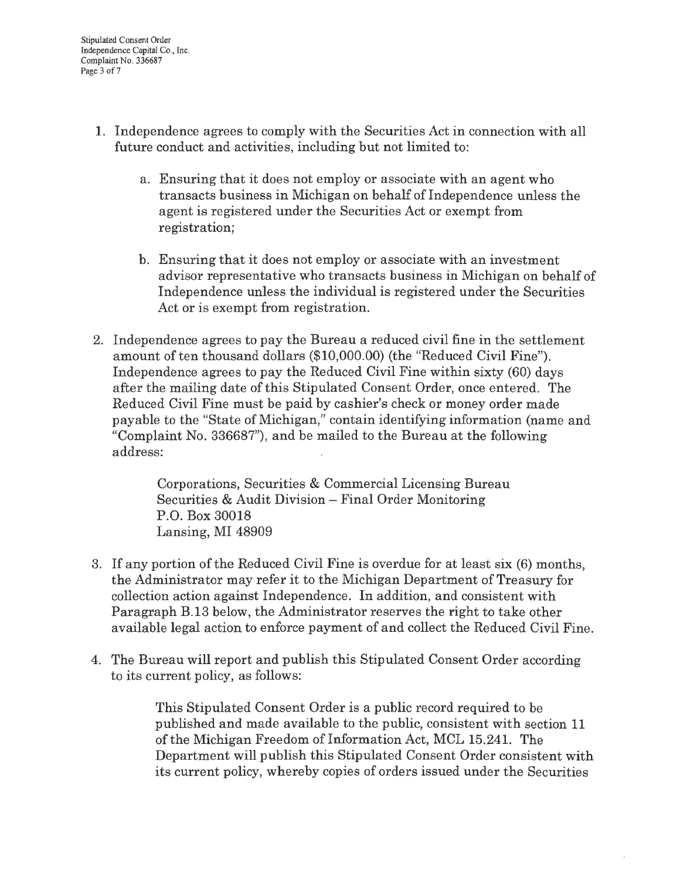- 1. Independence agrees to comply with the Securities Act in connection with all future conduct and activities, including but not limited to:
	- a. Ensuring that it does not employ or associate with an agent who transacts business in Michigan on behalf of Independence unless the agent is registered under the Securities Act or exempt from registration;
	- b. Ensuring that it does not employ or associate with an investment advisor representative who transacts business in Michigan on behalf of Independence unless the individual is registered under the Securities Act or is exempt from registration.
- 2. Independence agrees to pay the Bureau a reduced civil fine in the settlement amount of ten thousand dollars (\$10,000.00) (the "Reduced Civil Fine"). Independence agrees to pay the Reduced Civil Fine within sixty (60) days after the mailing date of this Stipulated Consent Order, once entered. The Reduced Civil Fine must be paid by cashier's check or money order made payable to the "State of Michigan," contain identifying information (name and "Complaint No. 336687"), and be mailed to the Bureau at the following address:

Corporations, Securities & Commercial Licensing Bureau Securities & Audit Division - Final Order Monitoring P.O. Box 30018 Lansing, MI 48909

- 3. If any portion of the Reduced Civil Fine is overdue for at least six (6) months, the Administrator may refer it to the Michigan Department of Treasury for collection action against Independence. In addition, and consistent with Paragraph B.13 below, the Administrator reserves the right to take other available legal action to enforce payment of and collect the Reduced Civil Fine.
- 4. The Bureau will report and publish this Stipulated Consent Order according to its current policy, as follows:

This Stipulated Consent Order is a public record required to be published and made available to the public, consistent with section 11 of the Michigan Freedom of Information Act, MCL 15.241. The Department will publish this Stipulated Consent Order consistent with its current policy, whereby copies of orders issued under the Securities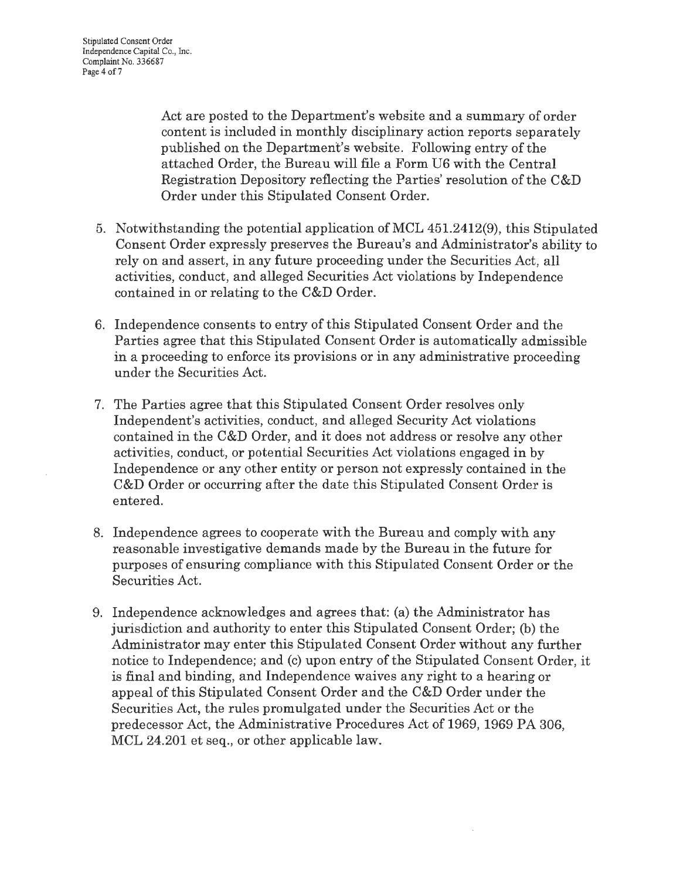Act are posted to the Department's website and a summary of order content is included in monthly disciplinary action reports separately published on the Department's website. Following entry of the attached Order, the Bureau will file a Form U6 with the Central Registration Depository reflecting the Parties' resolution of the C&D Order under this Stipulated Consent Order.

- 5. Notwithstanding the potential application of MCL 451.2412(9), this Stipulated Consent Order expressly preserves the Bureau's and Administrator's ability to rely on and assert, in any future proceeding under the Securities Act, all activities, conduct, and alleged Securities Act violations by Independence contained in or relating to the C&D Order.
- 6. Independence consents to entry of this Stipulated Consent Order and the Parties agree that this Stipulated Consent Order is automatically admissible in a proceeding to enforce its provisions or in any administrative proceeding under the Securities Act.
- 7. The Parties agree that this Stipulated Consent Order resolves only Independent's activities, conduct, and alleged Security Act violations contained in the C&D Order, and it does not address or resolve any other activities, conduct, or potential Securities Act violations engaged in by Independence or any other entity or person not expressly contained in the C&D Order or occurring after the date this Stipulated Consent Order is entered.
- 8. Independence agrees to cooperate with the Bureau and comply with any reasonable investigative demands made by the Bureau in the future for purposes of ensuring compliance with this Stipulated Consent Order or the Securities Act.
- 9. Independence acknowledges and agrees that: (a) the Administrator has jurisdiction and authority to enter this Stipulated Consent Order; (b) the Administrator may enter this Stipulated Consent Order without any further notice to Independence; and (c) upon entry of the Stipulated Consent Order, it is final and binding, and Independence waives any right to a hearing or appeal of this Stipulated Consent Order and the C&D Order under the Securities Act, the rules promulgated under the Securities Act or the predecessor Act, the Administrative Procedures Act of 1969, 1969 PA 306, MCL 24.201 et seq., or other applicable law.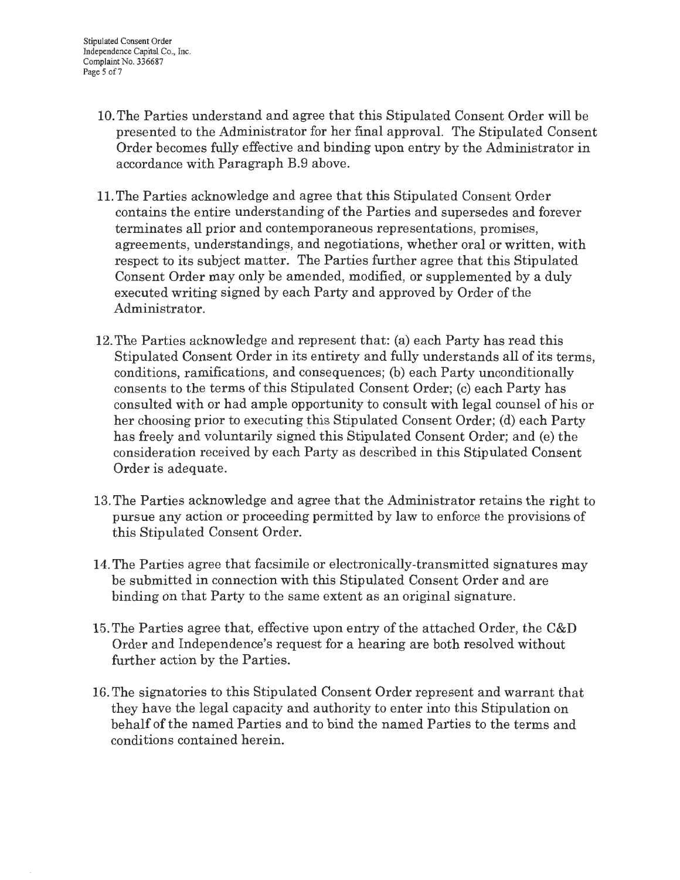- 10. The Parties understand and agree that this Stipulated Consent Order will be presented to the Administrator for her final approval. The Stipulated Consent Order becomes fully effective and binding upon entry by the Administrator in accordance with Paragraph B.9 above.
- 11. The Parties acknowledge and agree that this Stipulated Consent Order contains the entire understanding of the Parties and supersedes and forever terminates all prior and contemporaneous representations, promises, agreements, understandings, and negotiations, whether oral or written, with respect to its subject matter. The Parties further agree that this Stipulated Consent Order may only be amended, modified, or supplemented by a duly executed writing signed by each Party and approved by Order of the Administrator.
- 12. The Parties acknowledge and represent that: (a) each Party has read this Stipulated Consent Order in its entirety and fully understands all of its terms, conditions, ramifications, and consequences; (b) each Party unconditionally consents to the terms of this Stipulated Consent Order; (c) each Party has consulted with or had ample opportunity to consult with legal counsel of his or her choosing prior to executing this Stipulated Consent Order; (d) each Party has freely and voluntarily signed this Stipulated Consent Order; and (e) the consideration received by each Party as described in this Stipulated Consent Order is adequate.
- 13. The Parties acknowledge and agree that the Administrator retains the right to pursue any action or proceeding permitted by law to enforce the provisions of this Stipulated Consent Order.
- 14. The Parties agree that facsimile or electronically-transmitted signatures may be submitted in connection with this Stipulated Consent Order and are binding on that Party to the same extent as an original signature.
- 15. The Parties agree that, effective upon entry of the attached Order, the C&D Order and Independence's request for a hearing are both resolved without further action by the Parties.
- 16. The signatories to this Stipulated Consent Order represent and warrant that they have the legal capacity and authority to enter into this Stipulation on behalf of the named Parties and to bind the named Parties to the terms and conditions contained herein.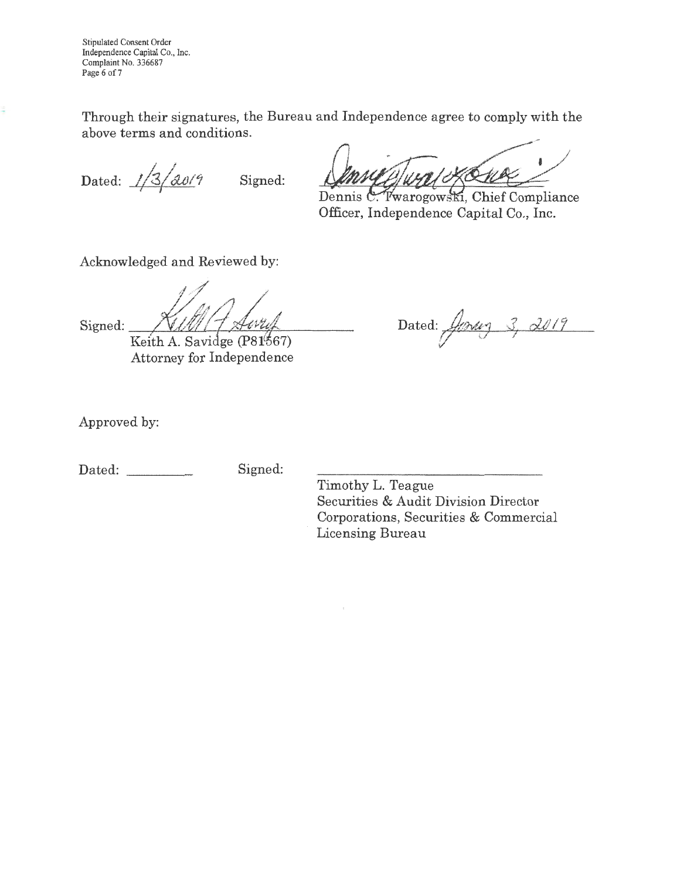Stipulated Consent Order Independence Capital Co., Inc. Complaint No. 336687 Page 6 of 7

Through their signatures, the Bureau and Independence agree to comply with the above terms and conditions.

Dated:  $\frac{1}{3}$   $\frac{2019}{1}$  Signed:

Dennis C. Twarogowski, Chief Compliance Officer, Independence Capital Co., Inc.

Acknowledged and Reviewed by:

ž

Signed:

Keith A. Savidge (P81567) Attorney for Independence

Dated:  $\frac{f}{\sqrt{2\pi}} \frac{3}{\sqrt{2019}}$ 

Approved by:

Dated: Signed:

Timothy L. Teague Securities & Audit Division Director Corporations, Securities & Commercial Licensing Bureau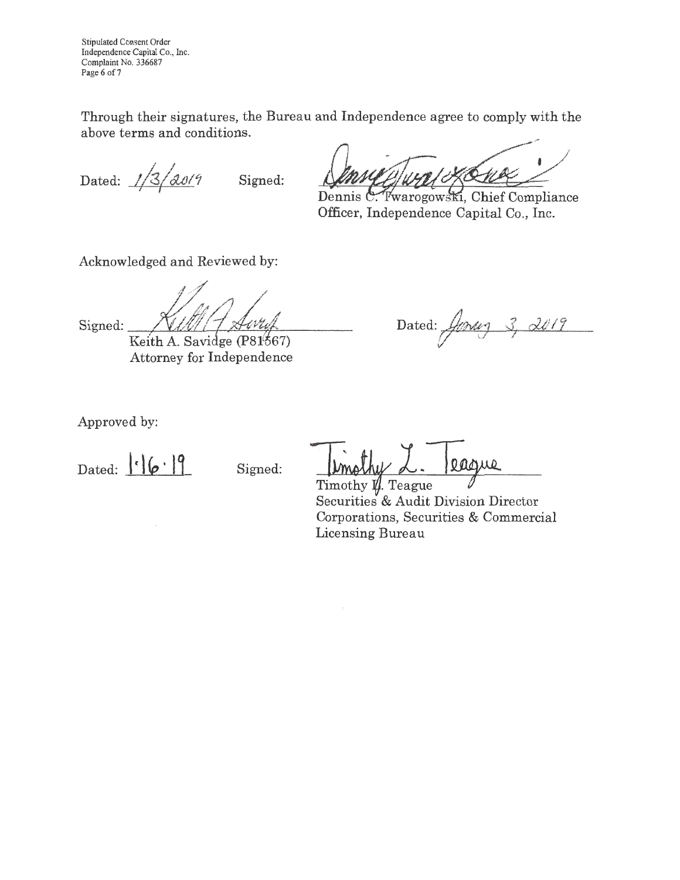Stipulated Consent Order Independence Capital Co., Inc. Complaint No. 336687 Page 6 of 7

Through their signatures, the Bureau and Independence agree to comply with the above terms and conditions.

Dated:  $1/3/2019$ 

Signed:

Dennis C. Twarogowski, Chief Compliance Officer, Independence Capital Co., Inc.

Acknowledged and Reviewed by:

Signed:

Keith A. Savidge (P81567) Attorney for Independence

 $\mathbf{D}$ ated \_. *J/b#J* 4 *dl/11* (T'

Approved by:

Dated:  $\left| \cdot \right| \left( \rho \cdot \right) \right|$  Signed:

casue

Timothy  $\mathbf{\mathcal{U}}$ . Teague Securities & Audit Division Director Corporations, Securities & Commercial Licensing Bureau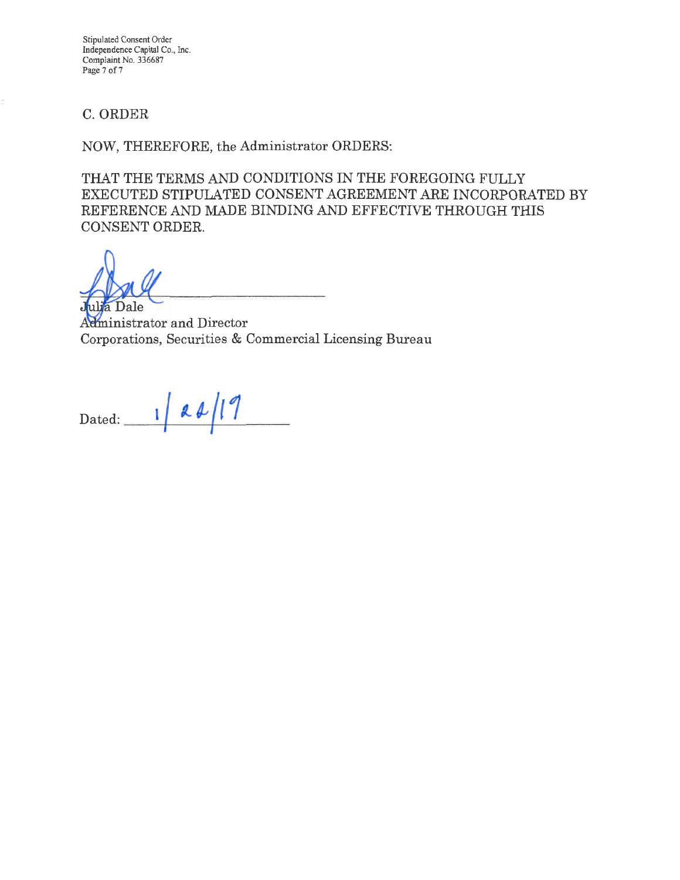Stipulated Consent Order Independence Capital Co., Inc. Complaint No. 336687 Page 7 of 7

## C. ORDER

NOW, THEREFORE, the Administrator ORDERS:

THAT THE TERMS AND CONDITIONS IN THE FOREGOING FULLY EXECUTED STIPULATED CONSENT AGREEMENT ARE INCORPORATED BY REFERENCE AND MADE BINDING AND EFFECTIVE THROUGH THIS CONSENT ORDER.

Dale

Administrator and Director Corporations, Securities & Commercial Licensing Bureau

 $\frac{1}{4}$  **d**  $\frac{1}{1}$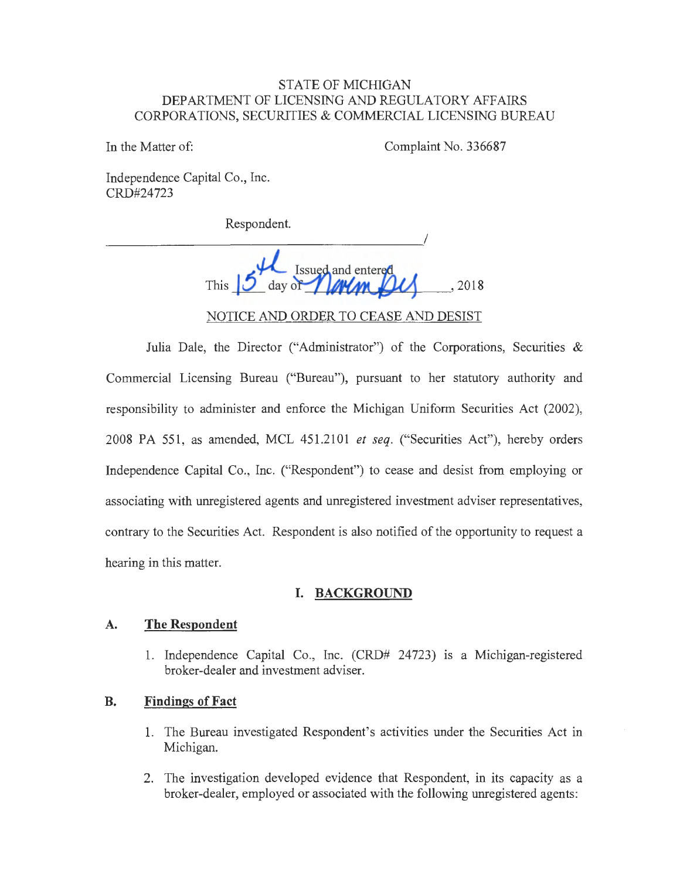### STATE OF MICHIGAN DEPARTMENT OF LICENSING AND REGULATORY AFFAIRS CORPORATIONS, SECURITIES & COMMERCIAL LICENSING BUREAU

In the Matter of: Complaint No. 336687

Independence Capital Co., Inc. CRD#24723

Respondent.

 $\overline{\phantom{a}}$ Issued and entered This  $\overline{U}$  day of  $\overline{I}$   $\overline{M}$   $\overline{M}$   $\overline{M}$   $\overline{M}$   $\overline{M}$   $\overline{M}$   $\overline{M}$   $\overline{M}$   $\overline{M}$   $\overline{M}$   $\overline{M}$   $\overline{M}$   $\overline{M}$   $\overline{M}$   $\overline{M}$   $\overline{M}$   $\overline{M}$   $\overline{M}$   $\overline{M}$   $\overline{M}$   $\overline{M}$   $\$ NOTICE AND ORDER TO CEASE AND DESIST

Julia Dale, the Director ("Administrator") of the Corporations, Securities & Commercial Licensing Bureau ("Bureau"), pursuant to her statutory authority and responsibility to administer and enforce the Michigan Uniform Securities Act (2002), 2008 PA 551, as amended, MCL 451.2101 *et seq.* ("Securities Act"), hereby orders Independence Capital Co., Inc. ("Respondent") to cease and desist from employing or associating with unregistered agents and unregistered investment adviser representatives, contrary to the Securities Act. Respondent is also notified of the opportunity to request a hearing in this matter.

### **I. BACKGROUND**

#### **A. The Respondent**

1. Independence Capital Co., Inc. (CRD# 24723) 1s a Michigan-registered broker-dealer and investment adviser.

### **B. Findings of Fact**

- 1. The Bureau investigated Respondent's activities under the Securities Act in Michigan.
- 2. The investigation developed evidence that Respondent, in its capacity as a broker-dealer, employed or associated with the following unregistered agents: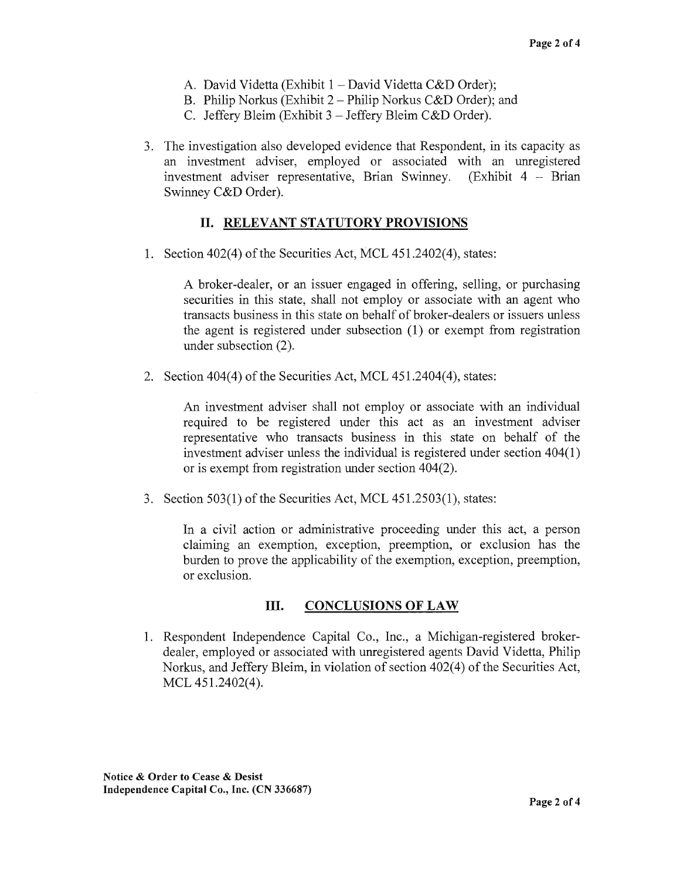- A. David Videtta (Exhibit 1 David Videtta C&D Order);
- B. Philip Norkus (Exhibit 2- Philip Norkus C&D Order); and
- C. Jeffery Bleim (Exhibit 3 -Jeffery Bleim C&D Order).
- 3. The investigation also developed evidence that Respondent, in its capacity as an investment adviser, employed or associated with an unregistered investment adviser representative, Brian Swinney. (Exhibit 4 - Brian Swinney C&D Order).

## II. **RELEVANT STATUTORY PROVISIONS**

1. Section 402(4) of the Securities Act, MCL 451.2402(4), states:

A broker-dealer, or an issuer engaged in offering, selling, or purchasing securities in this state, shall not employ or associate with an agent who transacts business in this state on behalf of broker-dealers or issuers unless the agent is registered under subsection (1) or exempt from registration under subsection (2).

2. Section 404(4) of the Securities Act, MCL 451.2404(4), states:

An investment adviser shall not employ or associate with an individual required to be registered under this act as an investment adviser representative who transacts business in this state on behalf of the investment adviser unless the individual is registered under section 404(1) or is exempt from registration under section 404(2).

3. Section 503(1) of the Securities Act, MCL 451.2503(1), states:

In a civil action or administrative proceeding under this act, a person claiming an exemption, exception, preemption, or exclusion has the burden to prove the applicability of the exemption, exception, preemption, or exclusion.

### III. **CONCLUSIONS OF LAW**

1. Respondent Independence Capital Co., Inc., a Michigan-registered brokerdealer, employed or associated with unregistered agents David Videtta, Philip Norkus, and Jeffery Bleim, in violation of section 402(4) of the Securities Act, MCL 451.2402(4).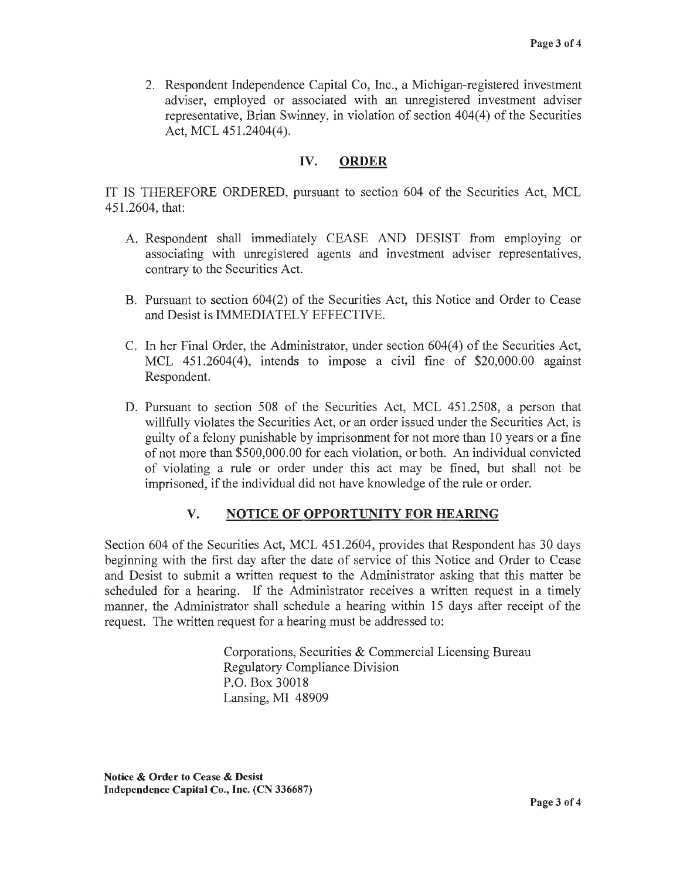2. Respondent Independence Capital Co, Inc., a Michigan-registered investment adviser, employed or associated with an unregistered investment adviser representative, Brian Swinney, in violation of section 404(4) of the Securities Act, MCL 451.2404(4).

### **IV. ORDER**

IT IS THEREFORE ORDERED, pursuant to section 604 of the Securities Act, MCL 451.2604, that:

- A. Respondent shall immediately CEASE AND DESIST from employing or associating with unregistered agents and investment adviser representatives, contrary to the Securities Act.
- B. Pursuant to section 604(2) of the Securities Act, this Notice and Order to Cease and Desist is IMMEDIATELY EFFECTIVE.
- C. In her Final Order, the Administrator, under section 604( 4) of the Securities Act, MCL 451.2604(4), intends to impose a civil fine of \$20,000.00 against Respondent.
- D. Pursuant to section 508 of the Securities Act, MCL 451.2508, a person that willfully violates the Securities Act, or an order issued under the Securities Act, is guilty of a felony punishable by imprisonment for not more than 10 years or a fine of not more than \$500,000.00 for each violation, or both. An individual convicted of violating a rule or order under this act may be fined, but shall not be imprisoned, if the individual did not have knowledge of the rule or order.

### **V. NOTICE OF OPPORTUNITY FOR HEARING**

Section 604 of the Securities Act, MCL 451.2604, provides that Respondent has 30 days beginning with the first day after the date of service of this Notice and Order to Cease and Desist to submit a written request to the Administrator asking that this matter be scheduled for a hearing. If the Administrator receives a written request in a timely manner, the Administrator shall schedule a hearing within 15 days after receipt of the request. The written request for a hearing must be addressed to:

> Corporations, Securities & Commercial Licensing Bureau Regulatory Compliance Division P.O. Box 30018 Lansing, MI 48909

**Notice** & **Order to Cease** & **Desist Independence Capital Co., Inc. (CN 336687)**